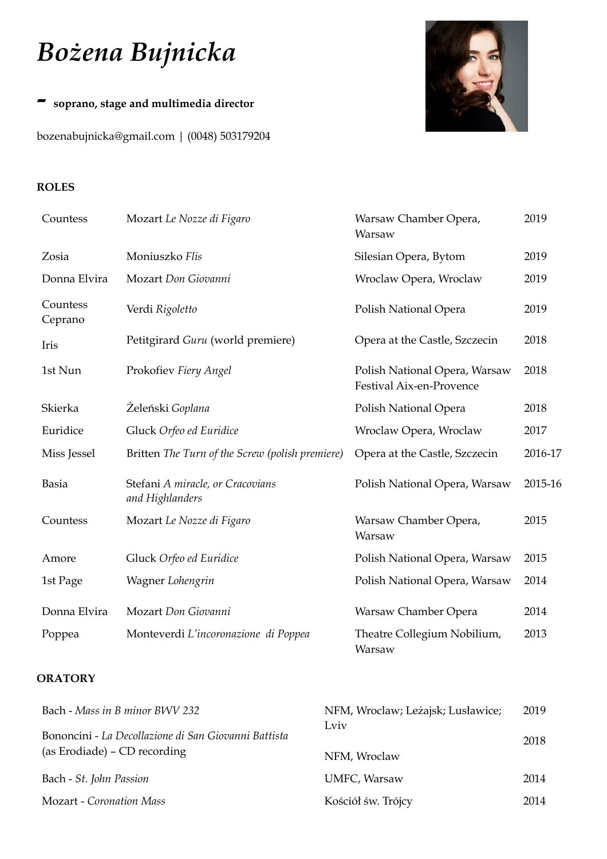# *Bożena Bujnicka*

## *-* **soprano, stage and multimedia director**

[bozenabujnicka@gmail.com](mailto:bozenabujnicka@gmail.com) | (0048) 503179204



#### **ROLES**

| Countess            | Mozart Le Nozze di Figaro                           | Warsaw Chamber Opera,<br>Warsaw                           | 2019    |
|---------------------|-----------------------------------------------------|-----------------------------------------------------------|---------|
| Zosia               | Moniuszko Flis                                      | Silesian Opera, Bytom                                     | 2019    |
| Donna Elvira        | Mozart Don Giovanni                                 | Wroclaw Opera, Wroclaw                                    | 2019    |
| Countess<br>Ceprano | Verdi Rigoletto                                     | Polish National Opera                                     | 2019    |
| Iris                | Petitgirard Guru (world premiere)                   | Opera at the Castle, Szczecin                             | 2018    |
| 1st Nun             | Prokofiev Fiery Angel                               | Polish National Opera, Warsaw<br>Festival Aix-en-Provence | 2018    |
| Skierka             | Zeleński Goplana                                    | Polish National Opera                                     | 2018    |
| Euridice            | Gluck Orfeo ed Euridice                             | Wroclaw Opera, Wroclaw                                    | 2017    |
| Miss Jessel         | Britten The Turn of the Screw (polish premiere)     | Opera at the Castle, Szczecin                             | 2016-17 |
| <b>Basia</b>        | Stefani A miracle, or Cracovians<br>and Highlanders | Polish National Opera, Warsaw                             | 2015-16 |
| Countess            | Mozart Le Nozze di Figaro                           | Warsaw Chamber Opera,<br>Warsaw                           | 2015    |
| Amore               | Gluck Orfeo ed Euridice                             | Polish National Opera, Warsaw                             | 2015    |
| 1st Page            | Wagner Lohengrin                                    | Polish National Opera, Warsaw                             | 2014    |
| Donna Elvira        | Mozart Don Giovanni                                 | Warsaw Chamber Opera                                      | 2014    |
| Poppea              | Monteverdi L'incoronazione di Poppea                | Theatre Collegium Nobilium,<br>Warsaw                     | 2013    |

### **ORATORY**

| Bach - Mass in B minor BWV 232                                                       | NFM, Wroclaw; Leżajsk; Lusławice; | 2019 |
|--------------------------------------------------------------------------------------|-----------------------------------|------|
| Bononcini - La Decollazione di San Giovanni Battista<br>(as Erodiade) – CD recording | Lviv<br>NFM, Wroclaw              | 2018 |
|                                                                                      |                                   | 2014 |
| Bach - St. John Passion                                                              | UMFC, Warsaw                      |      |
| <b>Mozart</b> - Coronation Mass                                                      | Kościół św. Trójcy                | 2014 |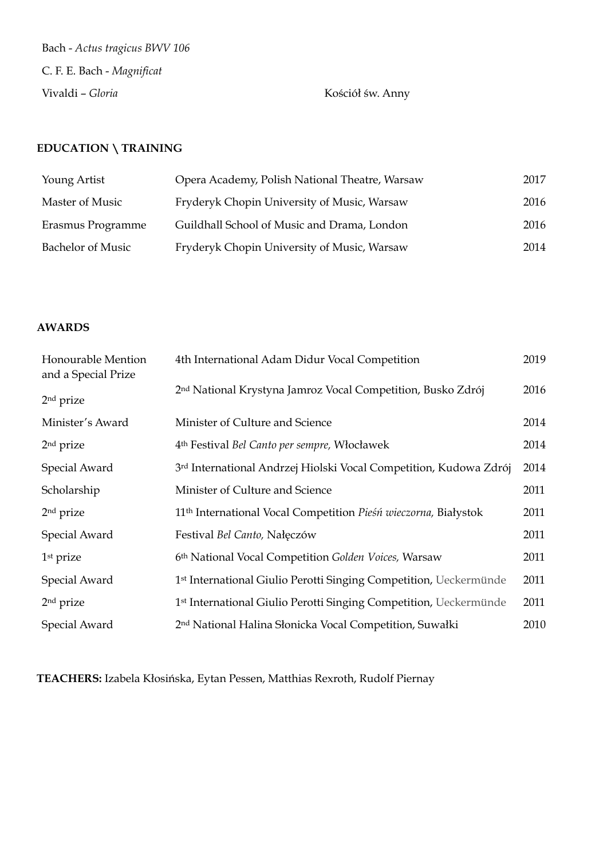Bach - *Actus tragicus BWV 106* C. F. E. Bach - *Magnificat* Vivaldi – *Gloria* Kościół św. Anny

## **EDUCATION \ TRAINING**

| Young Artist             | Opera Academy, Polish National Theatre, Warsaw | 2017 |
|--------------------------|------------------------------------------------|------|
| Master of Music          | Fryderyk Chopin University of Music, Warsaw    | 2016 |
| Erasmus Programme        | Guildhall School of Music and Drama, London    | 2016 |
| <b>Bachelor of Music</b> | Fryderyk Chopin University of Music, Warsaw    | 2014 |

#### **AWARDS**

| Honourable Mention<br>and a Special Prize | 4th International Adam Didur Vocal Competition                              | 2019 |
|-------------------------------------------|-----------------------------------------------------------------------------|------|
| 2 <sup>nd</sup> prize                     | 2 <sup>nd</sup> National Krystyna Jamroz Vocal Competition, Busko Zdrój     | 2016 |
| Minister's Award                          | Minister of Culture and Science                                             | 2014 |
| $2nd$ prize                               | 4 <sup>th</sup> Festival Bel Canto per sempre, Włocławek                    | 2014 |
| Special Award                             | 3rd International Andrzej Hiolski Vocal Competition, Kudowa Zdrój           | 2014 |
| Scholarship                               | Minister of Culture and Science                                             | 2011 |
| $2nd$ prize                               | 11 <sup>th</sup> International Vocal Competition Pieśń wieczorna, Białystok | 2011 |
| Special Award                             | Festival Bel Canto, Nałęczów                                                | 2011 |
| $1st$ prize                               | 6th National Vocal Competition Golden Voices, Warsaw                        | 2011 |
| Special Award                             | 1st International Giulio Perotti Singing Competition, Ueckermünde           | 2011 |
| 2 <sup>nd</sup> prize                     | 1st International Giulio Perotti Singing Competition, Ueckermünde           | 2011 |
| Special Award                             | 2 <sup>nd</sup> National Halina Słonicka Vocal Competition, Suwałki         | 2010 |

**TEACHERS:** Izabela Kłosińska, Eytan Pessen, Matthias Rexroth, Rudolf Piernay